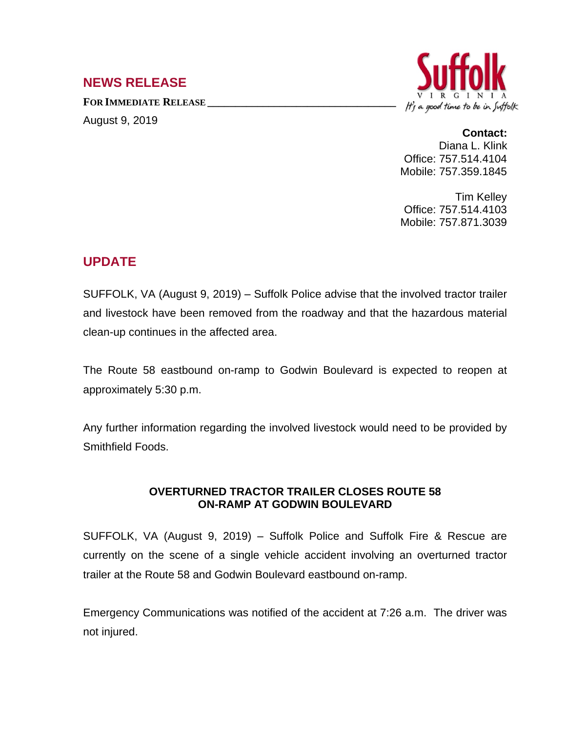## **NEWS RELEASE**

**FOR IMMEDIATE RELEASE \_\_\_\_\_\_\_\_\_\_\_\_\_\_\_\_\_\_\_\_\_\_\_\_\_\_\_\_\_\_\_\_\_\_** August 9, 2019



## **Contact:**

Diana L. Klink Office: 757.514.4104 Mobile: 757.359.1845

Tim Kelley Office: 757.514.4103 Mobile: 757.871.3039

## **UPDATE**

SUFFOLK, VA (August 9, 2019) – Suffolk Police advise that the involved tractor trailer and livestock have been removed from the roadway and that the hazardous material clean-up continues in the affected area.

The Route 58 eastbound on-ramp to Godwin Boulevard is expected to reopen at approximately 5:30 p.m.

Any further information regarding the involved livestock would need to be provided by Smithfield Foods.

## **OVERTURNED TRACTOR TRAILER CLOSES ROUTE 58 ON-RAMP AT GODWIN BOULEVARD**

SUFFOLK, VA (August 9, 2019) – Suffolk Police and Suffolk Fire & Rescue are currently on the scene of a single vehicle accident involving an overturned tractor trailer at the Route 58 and Godwin Boulevard eastbound on-ramp.

Emergency Communications was notified of the accident at 7:26 a.m. The driver was not injured.